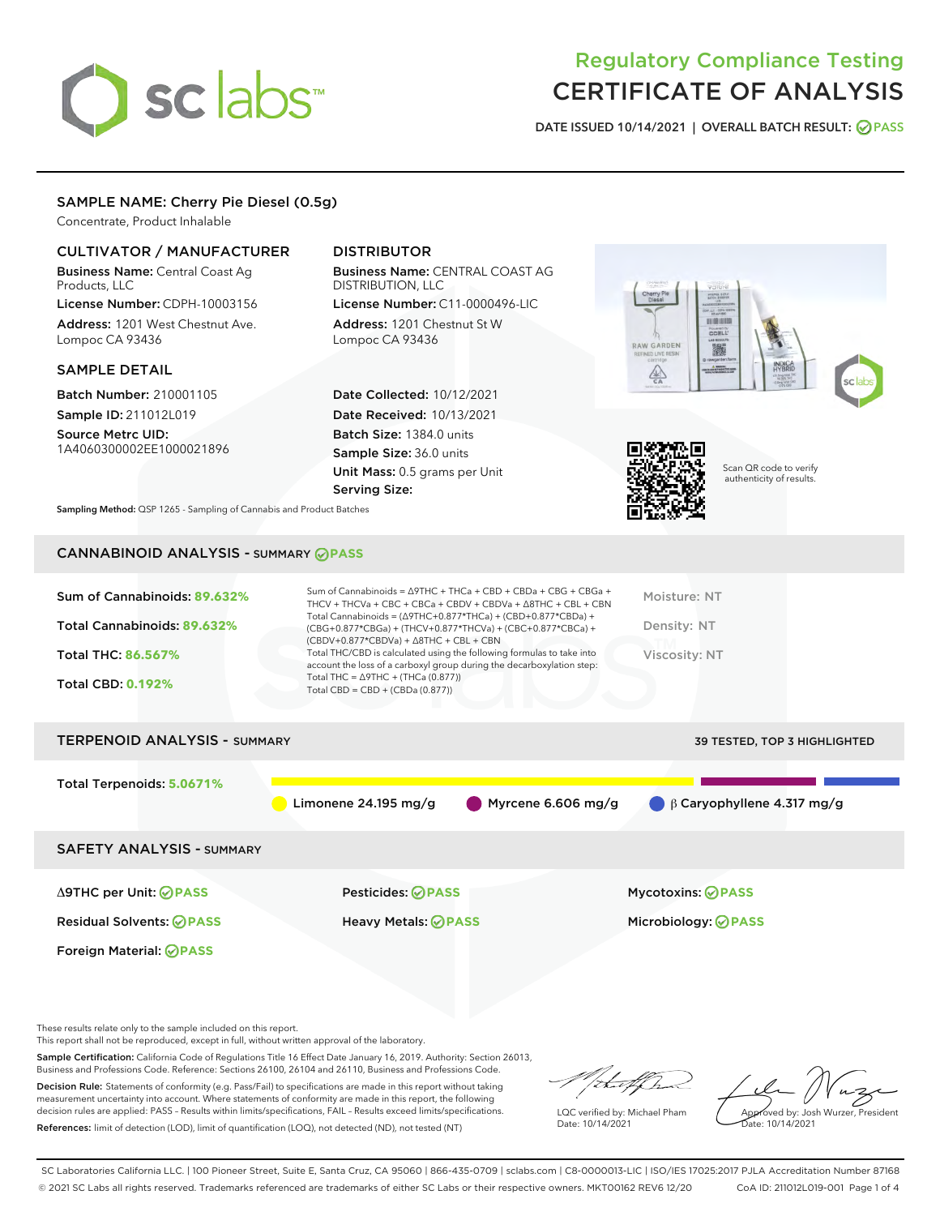# sclabs<sup>\*</sup>

# Regulatory Compliance Testing CERTIFICATE OF ANALYSIS

DATE ISSUED 10/14/2021 | OVERALL BATCH RESULT: @ PASS

# SAMPLE NAME: Cherry Pie Diesel (0.5g)

Concentrate, Product Inhalable

# CULTIVATOR / MANUFACTURER

Business Name: Central Coast Ag Products, LLC

License Number: CDPH-10003156 Address: 1201 West Chestnut Ave. Lompoc CA 93436

# SAMPLE DETAIL

Batch Number: 210001105 Sample ID: 211012L019

Source Metrc UID: 1A4060300002EE1000021896

# DISTRIBUTOR

Business Name: CENTRAL COAST AG DISTRIBUTION, LLC License Number: C11-0000496-LIC

Address: 1201 Chestnut St W Lompoc CA 93436

Date Collected: 10/12/2021 Date Received: 10/13/2021 Batch Size: 1384.0 units Sample Size: 36.0 units Unit Mass: 0.5 grams per Unit Serving Size:





Scan QR code to verify authenticity of results.

Sampling Method: QSP 1265 - Sampling of Cannabis and Product Batches

# CANNABINOID ANALYSIS - SUMMARY **PASS**

| Sum of Cannabinoids: 89.632%<br>Total Cannabinoids: 89.632%<br>Total THC: 86.567%<br><b>Total CBD: 0.192%</b> | Sum of Cannabinoids = $\triangle$ 9THC + THCa + CBD + CBDa + CBG + CBGa +<br>THCV + THCVa + CBC + CBCa + CBDV + CBDVa + $\land$ 8THC + CBL + CBN<br>Total Cannabinoids = $(\Delta$ 9THC+0.877*THCa) + (CBD+0.877*CBDa) +<br>(CBG+0.877*CBGa) + (THCV+0.877*THCVa) + (CBC+0.877*CBCa) +<br>$(CBDV+0.877*CBDVa) + \Delta 8THC + CBL + CBN$<br>Total THC/CBD is calculated using the following formulas to take into<br>account the loss of a carboxyl group during the decarboxylation step:<br>Total THC = $\triangle$ 9THC + (THCa (0.877))<br>Total CBD = CBD + (CBDa (0.877)) | Moisture: NT<br>Density: NT<br>Viscosity: NT           |  |  |  |
|---------------------------------------------------------------------------------------------------------------|---------------------------------------------------------------------------------------------------------------------------------------------------------------------------------------------------------------------------------------------------------------------------------------------------------------------------------------------------------------------------------------------------------------------------------------------------------------------------------------------------------------------------------------------------------------------------------|--------------------------------------------------------|--|--|--|
| <b>TERPENOID ANALYSIS - SUMMARY</b><br><b>39 TESTED, TOP 3 HIGHLIGHTED</b>                                    |                                                                                                                                                                                                                                                                                                                                                                                                                                                                                                                                                                                 |                                                        |  |  |  |
| Total Terpenoids: 5.0671%                                                                                     | Myrcene 6.606 mg/g<br>Limonene 24.195 mg/g                                                                                                                                                                                                                                                                                                                                                                                                                                                                                                                                      | $\beta$ Caryophyllene 4.317 mg/g                       |  |  |  |
| <b>SAFETY ANALYSIS - SUMMARY</b>                                                                              |                                                                                                                                                                                                                                                                                                                                                                                                                                                                                                                                                                                 |                                                        |  |  |  |
| ∆9THC per Unit: ⊘PASS<br><b>Residual Solvents: ⊘PASS</b><br><b>Foreign Material: ⊘PASS</b>                    | Pesticides: ⊘PASS<br>Heavy Metals: <b>OPASS</b>                                                                                                                                                                                                                                                                                                                                                                                                                                                                                                                                 | <b>Mycotoxins: ⊘PASS</b><br>Microbiology: <b>OPASS</b> |  |  |  |
|                                                                                                               |                                                                                                                                                                                                                                                                                                                                                                                                                                                                                                                                                                                 |                                                        |  |  |  |

These results relate only to the sample included on this report.

This report shall not be reproduced, except in full, without written approval of the laboratory.

Sample Certification: California Code of Regulations Title 16 Effect Date January 16, 2019. Authority: Section 26013, Business and Professions Code. Reference: Sections 26100, 26104 and 26110, Business and Professions Code.

Decision Rule: Statements of conformity (e.g. Pass/Fail) to specifications are made in this report without taking measurement uncertainty into account. Where statements of conformity are made in this report, the following decision rules are applied: PASS – Results within limits/specifications, FAIL – Results exceed limits/specifications. References: limit of detection (LOD), limit of quantification (LOQ), not detected (ND), not tested (NT)

/ that f(ho

LQC verified by: Michael Pham Date: 10/14/2021

Approved by: Josh Wurzer, President Date: 10/14/2021

SC Laboratories California LLC. | 100 Pioneer Street, Suite E, Santa Cruz, CA 95060 | 866-435-0709 | sclabs.com | C8-0000013-LIC | ISO/IES 17025:2017 PJLA Accreditation Number 87168 © 2021 SC Labs all rights reserved. Trademarks referenced are trademarks of either SC Labs or their respective owners. MKT00162 REV6 12/20 CoA ID: 211012L019-001 Page 1 of 4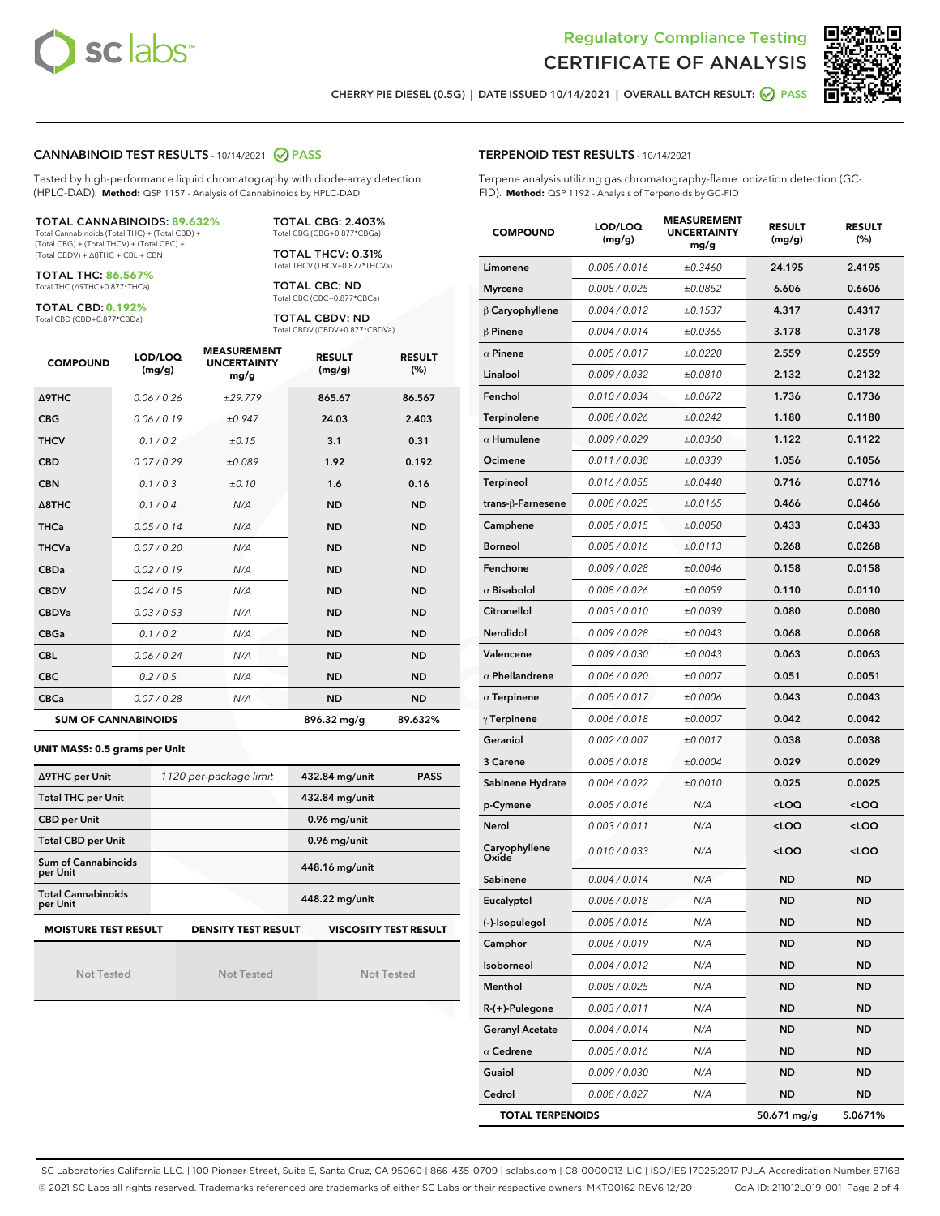



CHERRY PIE DIESEL (0.5G) | DATE ISSUED 10/14/2021 | OVERALL BATCH RESULT: @ PASS

### CANNABINOID TEST RESULTS - 10/14/2021 2 PASS

Tested by high-performance liquid chromatography with diode-array detection (HPLC-DAD). **Method:** QSP 1157 - Analysis of Cannabinoids by HPLC-DAD

#### TOTAL CANNABINOIDS: **89.632%**

Total Cannabinoids (Total THC) + (Total CBD) + (Total CBG) + (Total THCV) + (Total CBC) + (Total CBDV) + ∆8THC + CBL + CBN

TOTAL THC: **86.567%** Total THC (∆9THC+0.877\*THCa)

TOTAL CBD: **0.192%** Total CBD (CBD+0.877\*CBDa)

TOTAL CBC: ND Total CBC (CBC+0.877\*CBCa)

> TOTAL CBDV: ND Total CBDV (CBDV+0.877\*CBDVa)

TOTAL CBG: 2.403% Total CBG (CBG+0.877\*CBGa) TOTAL THCV: 0.31% Total THCV (THCV+0.877\*THCVa)

| <b>COMPOUND</b>            | LOD/LOQ<br>(mg/g) | <b>MEASUREMENT</b><br><b>UNCERTAINTY</b><br>mg/g | <b>RESULT</b><br>(mg/g) | <b>RESULT</b><br>(%) |
|----------------------------|-------------------|--------------------------------------------------|-------------------------|----------------------|
| <b>A9THC</b>               | 0.06/0.26         | ±29.779                                          | 865.67                  | 86.567               |
| <b>CBG</b>                 | 0.06 / 0.19       | ±0.947                                           | 24.03                   | 2.403                |
| <b>THCV</b>                | 0.1 / 0.2         | ±0.15                                            | 3.1                     | 0.31                 |
| <b>CBD</b>                 | 0.07/0.29         | ±0.089                                           | 1.92                    | 0.192                |
| <b>CBN</b>                 | 0.1/0.3           | ±0.10                                            | 1.6                     | 0.16                 |
| $\triangle$ 8THC           | 0.1/0.4           | N/A                                              | <b>ND</b>               | <b>ND</b>            |
| <b>THCa</b>                | 0.05/0.14         | N/A                                              | <b>ND</b>               | <b>ND</b>            |
| <b>THCVa</b>               | 0.07 / 0.20       | N/A                                              | <b>ND</b>               | <b>ND</b>            |
| <b>CBDa</b>                | 0.02/0.19         | N/A                                              | <b>ND</b>               | <b>ND</b>            |
| <b>CBDV</b>                | 0.04/0.15         | N/A                                              | <b>ND</b>               | <b>ND</b>            |
| <b>CBDVa</b>               | 0.03/0.53         | N/A                                              | <b>ND</b>               | <b>ND</b>            |
| <b>CBGa</b>                | 0.1 / 0.2         | N/A                                              | <b>ND</b>               | <b>ND</b>            |
| <b>CBL</b>                 | 0.06 / 0.24       | N/A                                              | <b>ND</b>               | <b>ND</b>            |
| <b>CBC</b>                 | 0.2 / 0.5         | N/A                                              | <b>ND</b>               | <b>ND</b>            |
| <b>CBCa</b>                | 0.07/0.28         | N/A                                              | <b>ND</b>               | <b>ND</b>            |
| <b>SUM OF CANNABINOIDS</b> |                   |                                                  | 896.32 mg/g             | 89.632%              |

#### **UNIT MASS: 0.5 grams per Unit**

| ∆9THC per Unit                                                                            | 1120 per-package limit | 432.84 mg/unit<br><b>PASS</b> |  |  |  |
|-------------------------------------------------------------------------------------------|------------------------|-------------------------------|--|--|--|
| <b>Total THC per Unit</b>                                                                 |                        | 432.84 mg/unit                |  |  |  |
| <b>CBD per Unit</b>                                                                       |                        | $0.96$ mg/unit                |  |  |  |
| <b>Total CBD per Unit</b>                                                                 |                        | $0.96$ mg/unit                |  |  |  |
| Sum of Cannabinoids<br>per Unit                                                           |                        | 448.16 mg/unit                |  |  |  |
| <b>Total Cannabinoids</b><br>per Unit                                                     |                        | 448.22 mg/unit                |  |  |  |
| <b>MOISTURE TEST RESULT</b><br><b>DENSITY TEST RESULT</b><br><b>VISCOSITY TEST RESULT</b> |                        |                               |  |  |  |

Not Tested

Not Tested

Not Tested

#### TERPENOID TEST RESULTS - 10/14/2021

Terpene analysis utilizing gas chromatography-flame ionization detection (GC-FID). **Method:** QSP 1192 - Analysis of Terpenoids by GC-FID

| <b>COMPOUND</b>         | LOD/LOQ<br>(mg/g) | <b>MEASUREMENT</b><br><b>UNCERTAINTY</b><br>mg/g | <b>RESULT</b><br>(mg/g)                          | <b>RESULT</b><br>(%) |
|-------------------------|-------------------|--------------------------------------------------|--------------------------------------------------|----------------------|
| Limonene                | 0.005 / 0.016     | ±0.3460                                          | 24.195                                           | 2.4195               |
| <b>Myrcene</b>          | 0.008 / 0.025     | ±0.0852                                          | 6.606                                            | 0.6606               |
| $\beta$ Caryophyllene   | 0.004 / 0.012     | ±0.1537                                          | 4.317                                            | 0.4317               |
| $\beta$ Pinene          | 0.004 / 0.014     | ±0.0365                                          | 3.178                                            | 0.3178               |
| $\alpha$ Pinene         | 0.005 / 0.017     | ±0.0220                                          | 2.559                                            | 0.2559               |
| Linalool                | 0.009 / 0.032     | ±0.0810                                          | 2.132                                            | 0.2132               |
| Fenchol                 | 0.010 / 0.034     | ±0.0672                                          | 1.736                                            | 0.1736               |
| Terpinolene             | 0.008 / 0.026     | ±0.0242                                          | 1.180                                            | 0.1180               |
| $\alpha$ Humulene       | 0.009/0.029       | ±0.0360                                          | 1.122                                            | 0.1122               |
| Ocimene                 | 0.011 / 0.038     | ±0.0339                                          | 1.056                                            | 0.1056               |
| <b>Terpineol</b>        | 0.016 / 0.055     | ±0.0440                                          | 0.716                                            | 0.0716               |
| trans-β-Farnesene       | 0.008 / 0.025     | ±0.0165                                          | 0.466                                            | 0.0466               |
| Camphene                | 0.005 / 0.015     | ±0.0050                                          | 0.433                                            | 0.0433               |
| Borneol                 | 0.005 / 0.016     | ±0.0113                                          | 0.268                                            | 0.0268               |
| Fenchone                | 0.009 / 0.028     | ±0.0046                                          | 0.158                                            | 0.0158               |
| $\alpha$ Bisabolol      | 0.008 / 0.026     | ±0.0059                                          | 0.110                                            | 0.0110               |
| Citronellol             | 0.003 / 0.010     | ±0.0039                                          | 0.080                                            | 0.0080               |
| Nerolidol               | 0.009 / 0.028     | ±0.0043                                          | 0.068                                            | 0.0068               |
| Valencene               | 0.009 / 0.030     | ±0.0043                                          | 0.063                                            | 0.0063               |
| $\alpha$ Phellandrene   | 0.006 / 0.020     | ±0.0007                                          | 0.051                                            | 0.0051               |
| $\alpha$ Terpinene      | 0.005 / 0.017     | ±0.0006                                          | 0.043                                            | 0.0043               |
| $\gamma$ Terpinene      | 0.006 / 0.018     | ±0.0007                                          | 0.042                                            | 0.0042               |
| Geraniol                | 0.002 / 0.007     | ±0.0017                                          | 0.038                                            | 0.0038               |
| 3 Carene                | 0.005 / 0.018     | ±0.0004                                          | 0.029                                            | 0.0029               |
| Sabinene Hydrate        | 0.006 / 0.022     | ±0.0010                                          | 0.025                                            | 0.0025               |
| p-Cymene                | 0.005 / 0.016     | N/A                                              | <loq< th=""><th><math>&lt;</math>LOQ</th></loq<> | $<$ LOQ              |
| Nerol                   | 0.003 / 0.011     | N/A                                              | <loq< th=""><th><loq< th=""></loq<></th></loq<>  | <loq< th=""></loq<>  |
| Caryophyllene<br>Oxide  | 0.010 / 0.033     | N/A                                              | <loq< th=""><th><loq< th=""></loq<></th></loq<>  | <loq< th=""></loq<>  |
| Sabinene                | 0.004 / 0.014     | N/A                                              | ND                                               | <b>ND</b>            |
| Eucalyptol              | 0.006 / 0.018     | N/A                                              | <b>ND</b>                                        | <b>ND</b>            |
| (-)-Isopulegol          | 0.005 / 0.016     | N/A                                              | ND                                               | ND                   |
| Camphor                 | 0.006 / 0.019     | N/A                                              | <b>ND</b>                                        | <b>ND</b>            |
| Isoborneol              | 0.004 / 0.012     | N/A                                              | <b>ND</b>                                        | <b>ND</b>            |
| Menthol                 | 0.008 / 0.025     | N/A                                              | ND                                               | ND                   |
| $R-(+)$ -Pulegone       | 0.003 / 0.011     | N/A                                              | ND                                               | ND                   |
| <b>Geranyl Acetate</b>  | 0.004 / 0.014     | N/A                                              | <b>ND</b>                                        | <b>ND</b>            |
| $\alpha$ Cedrene        | 0.005 / 0.016     | N/A                                              | ND                                               | ND                   |
| Guaiol                  | 0.009 / 0.030     | N/A                                              | <b>ND</b>                                        | ND                   |
| Cedrol                  | 0.008 / 0.027     | N/A                                              | <b>ND</b>                                        | ND                   |
| <b>TOTAL TERPENOIDS</b> |                   |                                                  | 50.671 mg/g                                      | 5.0671%              |

SC Laboratories California LLC. | 100 Pioneer Street, Suite E, Santa Cruz, CA 95060 | 866-435-0709 | sclabs.com | C8-0000013-LIC | ISO/IES 17025:2017 PJLA Accreditation Number 87168 © 2021 SC Labs all rights reserved. Trademarks referenced are trademarks of either SC Labs or their respective owners. MKT00162 REV6 12/20 CoA ID: 211012L019-001 Page 2 of 4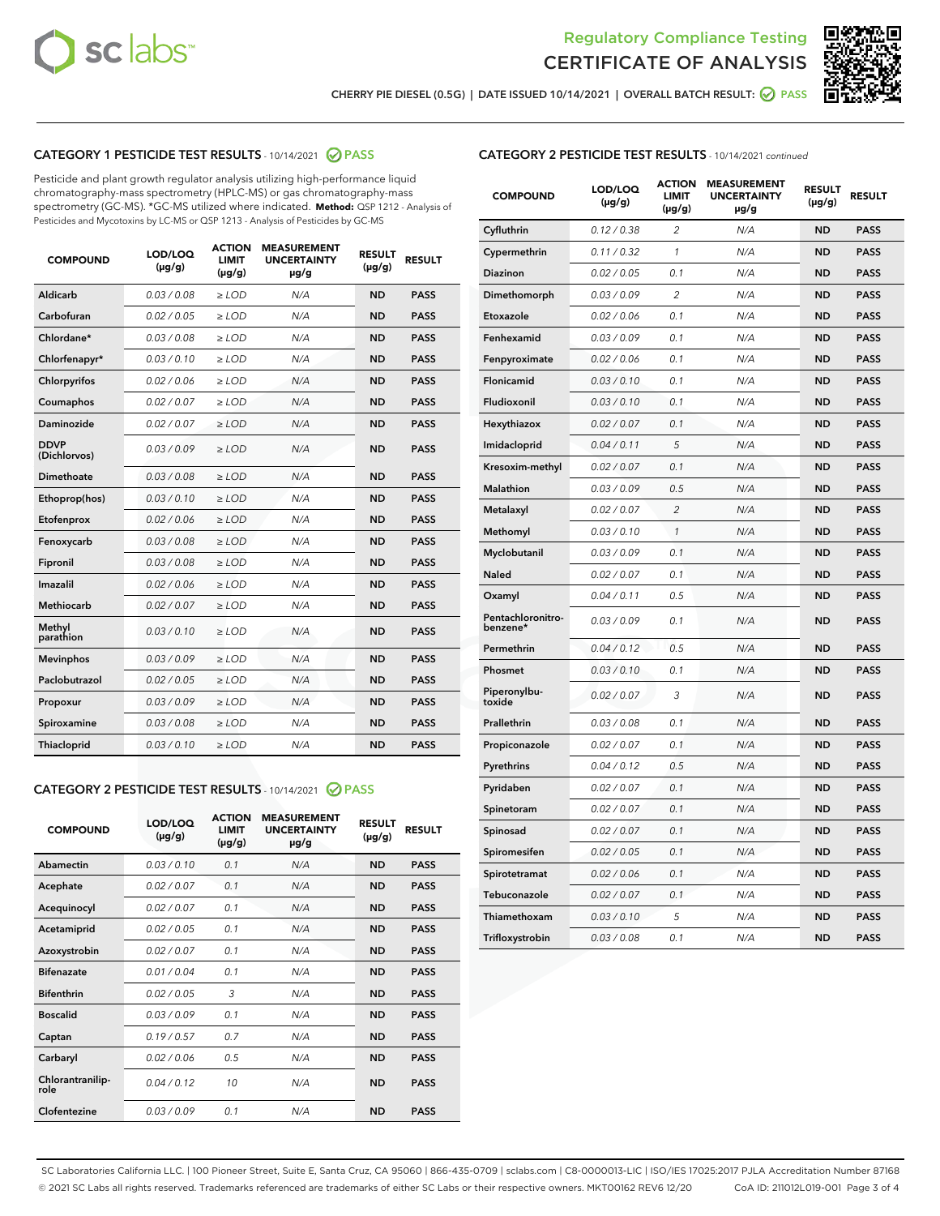



CHERRY PIE DIESEL (0.5G) | DATE ISSUED 10/14/2021 | OVERALL BATCH RESULT: ☑ PASS

# CATEGORY 1 PESTICIDE TEST RESULTS - 10/14/2021 @ PASS

Pesticide and plant growth regulator analysis utilizing high-performance liquid chromatography-mass spectrometry (HPLC-MS) or gas chromatography-mass spectrometry (GC-MS). \*GC-MS utilized where indicated. **Method:** QSP 1212 - Analysis of Pesticides and Mycotoxins by LC-MS or QSP 1213 - Analysis of Pesticides by GC-MS

| <b>COMPOUND</b>             | LOD/LOQ<br>$(\mu g/g)$ | <b>ACTION</b><br>LIMIT<br>$(\mu g/g)$ | <b>MEASUREMENT</b><br><b>UNCERTAINTY</b><br>µg/g | <b>RESULT</b><br>$(\mu g/g)$ | <b>RESULT</b> |
|-----------------------------|------------------------|---------------------------------------|--------------------------------------------------|------------------------------|---------------|
| <b>Aldicarb</b>             | 0.03/0.08              | $\ge$ LOD                             | N/A                                              | <b>ND</b>                    | <b>PASS</b>   |
| Carbofuran                  | 0.02 / 0.05            | $>$ LOD                               | N/A                                              | <b>ND</b>                    | <b>PASS</b>   |
| Chlordane*                  | 0.03 / 0.08            | $\ge$ LOD                             | N/A                                              | <b>ND</b>                    | <b>PASS</b>   |
| Chlorfenapyr*               | 0.03/0.10              | $\ge$ LOD                             | N/A                                              | <b>ND</b>                    | <b>PASS</b>   |
| Chlorpyrifos                | 0.02 / 0.06            | $\ge$ LOD                             | N/A                                              | <b>ND</b>                    | <b>PASS</b>   |
| Coumaphos                   | 0.02 / 0.07            | $\ge$ LOD                             | N/A                                              | <b>ND</b>                    | <b>PASS</b>   |
| Daminozide                  | 0.02/0.07              | $>$ LOD                               | N/A                                              | <b>ND</b>                    | <b>PASS</b>   |
| <b>DDVP</b><br>(Dichlorvos) | 0.03/0.09              | $\geq$ LOD                            | N/A                                              | <b>ND</b>                    | <b>PASS</b>   |
| <b>Dimethoate</b>           | 0.03 / 0.08            | $\ge$ LOD                             | N/A                                              | <b>ND</b>                    | <b>PASS</b>   |
| Ethoprop(hos)               | 0.03/0.10              | $\geq$ LOD                            | N/A                                              | <b>ND</b>                    | <b>PASS</b>   |
| Etofenprox                  | 0.02/0.06              | $>$ LOD                               | N/A                                              | <b>ND</b>                    | <b>PASS</b>   |
| Fenoxycarb                  | 0.03 / 0.08            | $\geq$ LOD                            | N/A                                              | <b>ND</b>                    | <b>PASS</b>   |
| Fipronil                    | 0.03 / 0.08            | $\ge$ LOD                             | N/A                                              | <b>ND</b>                    | <b>PASS</b>   |
| Imazalil                    | 0.02 / 0.06            | $\ge$ LOD                             | N/A                                              | <b>ND</b>                    | <b>PASS</b>   |
| Methiocarb                  | 0.02 / 0.07            | $\ge$ LOD                             | N/A                                              | <b>ND</b>                    | <b>PASS</b>   |
| Methyl<br>parathion         | 0.03/0.10              | $\ge$ LOD                             | N/A                                              | <b>ND</b>                    | <b>PASS</b>   |
| <b>Mevinphos</b>            | 0.03/0.09              | $>$ LOD                               | N/A                                              | <b>ND</b>                    | <b>PASS</b>   |
| Paclobutrazol               | 0.02 / 0.05            | $\ge$ LOD                             | N/A                                              | <b>ND</b>                    | <b>PASS</b>   |
| Propoxur                    | 0.03/0.09              | $\ge$ LOD                             | N/A                                              | <b>ND</b>                    | <b>PASS</b>   |
| Spiroxamine                 | 0.03 / 0.08            | $\ge$ LOD                             | N/A                                              | <b>ND</b>                    | <b>PASS</b>   |
| Thiacloprid                 | 0.03/0.10              | $\geq$ LOD                            | N/A                                              | <b>ND</b>                    | <b>PASS</b>   |
|                             |                        |                                       |                                                  |                              |               |

#### CATEGORY 2 PESTICIDE TEST RESULTS - 10/14/2021 @ PASS

| <b>COMPOUND</b>          | LOD/LOQ<br>$(\mu g/g)$ | <b>ACTION</b><br><b>LIMIT</b><br>$(\mu g/g)$ | <b>MEASUREMENT</b><br><b>UNCERTAINTY</b><br>µg/g | <b>RESULT</b><br>$(\mu g/g)$ | <b>RESULT</b> |
|--------------------------|------------------------|----------------------------------------------|--------------------------------------------------|------------------------------|---------------|
| Abamectin                | 0.03/0.10              | 0.1                                          | N/A                                              | <b>ND</b>                    | <b>PASS</b>   |
| Acephate                 | 0.02/0.07              | 0.1                                          | N/A                                              | <b>ND</b>                    | <b>PASS</b>   |
| Acequinocyl              | 0.02/0.07              | 0.1                                          | N/A                                              | <b>ND</b>                    | <b>PASS</b>   |
| Acetamiprid              | 0.02 / 0.05            | 0.1                                          | N/A                                              | <b>ND</b>                    | <b>PASS</b>   |
| Azoxystrobin             | 0.02/0.07              | 0.1                                          | N/A                                              | <b>ND</b>                    | <b>PASS</b>   |
| <b>Bifenazate</b>        | 0.01/0.04              | 0.1                                          | N/A                                              | <b>ND</b>                    | <b>PASS</b>   |
| <b>Bifenthrin</b>        | 0.02 / 0.05            | 3                                            | N/A                                              | <b>ND</b>                    | <b>PASS</b>   |
| <b>Boscalid</b>          | 0.03/0.09              | 0.1                                          | N/A                                              | <b>ND</b>                    | <b>PASS</b>   |
| Captan                   | 0.19/0.57              | 0.7                                          | N/A                                              | <b>ND</b>                    | <b>PASS</b>   |
| Carbaryl                 | 0.02/0.06              | 0.5                                          | N/A                                              | <b>ND</b>                    | <b>PASS</b>   |
| Chlorantranilip-<br>role | 0.04/0.12              | 10                                           | N/A                                              | <b>ND</b>                    | <b>PASS</b>   |
| Clofentezine             | 0.03/0.09              | 0.1                                          | N/A                                              | <b>ND</b>                    | <b>PASS</b>   |

| <b>CATEGORY 2 PESTICIDE TEST RESULTS</b> - 10/14/2021 continued |  |  |
|-----------------------------------------------------------------|--|--|
|                                                                 |  |  |

| <b>COMPOUND</b>               | LOD/LOQ<br>$(\mu g/g)$ | <b>ACTION</b><br>LIMIT<br>(µg/g) | <b>MEASUREMENT</b><br><b>UNCERTAINTY</b><br>µg/g | <b>RESULT</b><br>$(\mu g/g)$ | <b>RESULT</b> |
|-------------------------------|------------------------|----------------------------------|--------------------------------------------------|------------------------------|---------------|
| Cyfluthrin                    | 0.12 / 0.38            | $\overline{c}$                   | N/A                                              | ND                           | <b>PASS</b>   |
| Cypermethrin                  | 0.11 / 0.32            | 1                                | N/A                                              | <b>ND</b>                    | <b>PASS</b>   |
| Diazinon                      | 0.02 / 0.05            | 0.1                              | N/A                                              | <b>ND</b>                    | <b>PASS</b>   |
| Dimethomorph                  | 0.03 / 0.09            | 2                                | N/A                                              | <b>ND</b>                    | <b>PASS</b>   |
| Etoxazole                     | 0.02 / 0.06            | 0.1                              | N/A                                              | <b>ND</b>                    | <b>PASS</b>   |
| Fenhexamid                    | 0.03 / 0.09            | 0.1                              | N/A                                              | <b>ND</b>                    | <b>PASS</b>   |
| Fenpyroximate                 | 0.02 / 0.06            | 0.1                              | N/A                                              | <b>ND</b>                    | <b>PASS</b>   |
| Flonicamid                    | 0.03 / 0.10            | 0.1                              | N/A                                              | <b>ND</b>                    | <b>PASS</b>   |
| Fludioxonil                   | 0.03/0.10              | 0.1                              | N/A                                              | <b>ND</b>                    | <b>PASS</b>   |
| Hexythiazox                   | 0.02 / 0.07            | 0.1                              | N/A                                              | <b>ND</b>                    | <b>PASS</b>   |
| Imidacloprid                  | 0.04 / 0.11            | 5                                | N/A                                              | <b>ND</b>                    | <b>PASS</b>   |
| Kresoxim-methyl               | 0.02 / 0.07            | 0.1                              | N/A                                              | <b>ND</b>                    | <b>PASS</b>   |
| <b>Malathion</b>              | 0.03 / 0.09            | 0.5                              | N/A                                              | <b>ND</b>                    | <b>PASS</b>   |
| Metalaxyl                     | 0.02 / 0.07            | $\overline{c}$                   | N/A                                              | <b>ND</b>                    | <b>PASS</b>   |
| Methomyl                      | 0.03 / 0.10            | $\mathbf{1}$                     | N/A                                              | <b>ND</b>                    | <b>PASS</b>   |
| Myclobutanil                  | 0.03 / 0.09            | 0.1                              | N/A                                              | <b>ND</b>                    | <b>PASS</b>   |
| <b>Naled</b>                  | 0.02 / 0.07            | 0.1                              | N/A                                              | <b>ND</b>                    | <b>PASS</b>   |
| Oxamyl                        | 0.04 / 0.11            | 0.5                              | N/A                                              | <b>ND</b>                    | <b>PASS</b>   |
| Pentachloronitro-<br>benzene* | 0.03/0.09              | 0.1                              | N/A                                              | <b>ND</b>                    | <b>PASS</b>   |
| Permethrin                    | 0.04 / 0.12            | 0.5                              | N/A                                              | <b>ND</b>                    | <b>PASS</b>   |
| Phosmet                       | 0.03 / 0.10            | 0.1                              | N/A                                              | <b>ND</b>                    | <b>PASS</b>   |
| Piperonylbu-<br>toxide        | 0.02 / 0.07            | 3                                | N/A                                              | <b>ND</b>                    | <b>PASS</b>   |
| Prallethrin                   | 0.03 / 0.08            | 0.1                              | N/A                                              | <b>ND</b>                    | <b>PASS</b>   |
| Propiconazole                 | 0.02 / 0.07            | 0.1                              | N/A                                              | <b>ND</b>                    | <b>PASS</b>   |
| Pyrethrins                    | 0.04 / 0.12            | 0.5                              | N/A                                              | <b>ND</b>                    | <b>PASS</b>   |
| Pyridaben                     | 0.02 / 0.07            | 0.1                              | N/A                                              | <b>ND</b>                    | <b>PASS</b>   |
| Spinetoram                    | 0.02 / 0.07            | 0.1                              | N/A                                              | ND                           | <b>PASS</b>   |
| Spinosad                      | 0.02 / 0.07            | 0.1                              | N/A                                              | <b>ND</b>                    | <b>PASS</b>   |
| Spiromesifen                  | 0.02 / 0.05            | 0.1                              | N/A                                              | <b>ND</b>                    | <b>PASS</b>   |
| Spirotetramat                 | 0.02 / 0.06            | 0.1                              | N/A                                              | <b>ND</b>                    | <b>PASS</b>   |
| Tebuconazole                  | 0.02 / 0.07            | 0.1                              | N/A                                              | ND                           | <b>PASS</b>   |
| Thiamethoxam                  | 0.03 / 0.10            | 5                                | N/A                                              | <b>ND</b>                    | <b>PASS</b>   |
| Trifloxystrobin               | 0.03 / 0.08            | 0.1                              | N/A                                              | <b>ND</b>                    | <b>PASS</b>   |

SC Laboratories California LLC. | 100 Pioneer Street, Suite E, Santa Cruz, CA 95060 | 866-435-0709 | sclabs.com | C8-0000013-LIC | ISO/IES 17025:2017 PJLA Accreditation Number 87168 © 2021 SC Labs all rights reserved. Trademarks referenced are trademarks of either SC Labs or their respective owners. MKT00162 REV6 12/20 CoA ID: 211012L019-001 Page 3 of 4